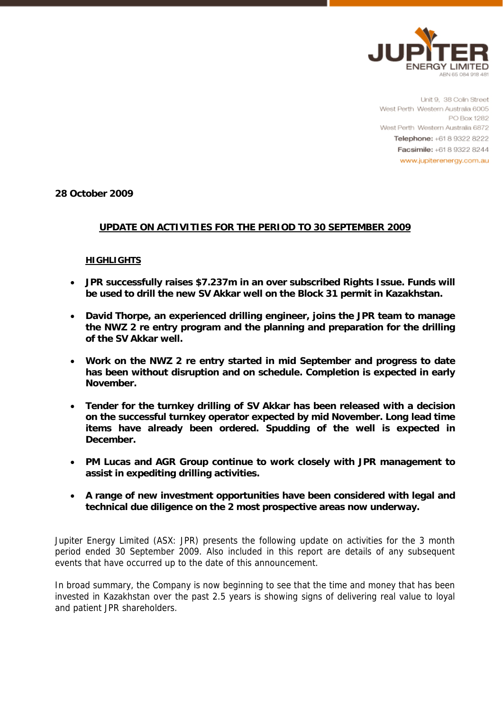

Unit 9, 38 Colin Street West Perth Western Australia 6005 PO Box 1282 West Perth Western Australia 6872 Telephone: +61 8 9322 8222 Facsimile: +61 8 9322 8244 www.jupiterenergy.com.au

**28 October 2009** 

# **UPDATE ON ACTIVITIES FOR THE PERIOD TO 30 SEPTEMBER 2009**

## **HIGHLIGHTS**

- **JPR successfully raises \$7.237m in an over subscribed Rights Issue. Funds will be used to drill the new SV Akkar well on the Block 31 permit in Kazakhstan.**
- **David Thorpe, an experienced drilling engineer, joins the JPR team to manage the NWZ 2 re entry program and the planning and preparation for the drilling of the SV Akkar well.**
- **Work on the NWZ 2 re entry started in mid September and progress to date has been without disruption and on schedule. Completion is expected in early November.**
- **Tender for the turnkey drilling of SV Akkar has been released with a decision on the successful turnkey operator expected by mid November. Long lead time items have already been ordered. Spudding of the well is expected in December.**
- **PM Lucas and AGR Group continue to work closely with JPR management to assist in expediting drilling activities.**
- **A range of new investment opportunities have been considered with legal and technical due diligence on the 2 most prospective areas now underway.**

Jupiter Energy Limited (ASX: JPR) presents the following update on activities for the 3 month period ended 30 September 2009. Also included in this report are details of any subsequent events that have occurred up to the date of this announcement.

In broad summary, the Company is now beginning to see that the time and money that has been invested in Kazakhstan over the past 2.5 years is showing signs of delivering real value to loyal and patient JPR shareholders.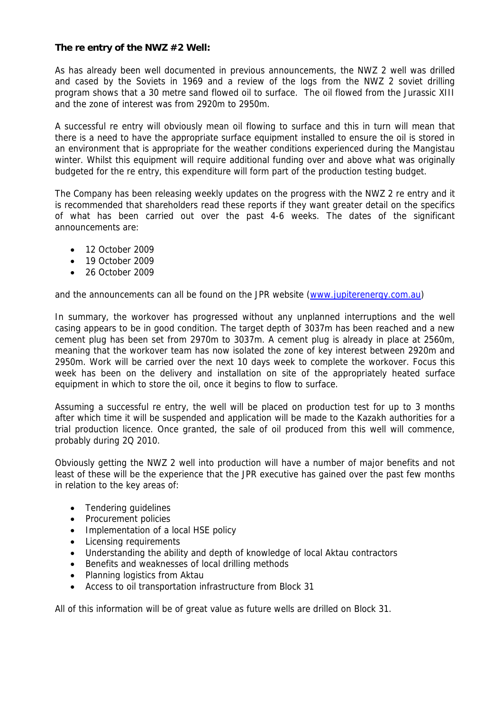## **The re entry of the NWZ #2 Well:**

As has already been well documented in previous announcements, the NWZ 2 well was drilled and cased by the Soviets in 1969 and a review of the logs from the NWZ 2 soviet drilling program shows that a 30 metre sand flowed oil to surface. The oil flowed from the Jurassic XIII and the zone of interest was from 2920m to 2950m.

A successful re entry will obviously mean oil flowing to surface and this in turn will mean that there is a need to have the appropriate surface equipment installed to ensure the oil is stored in an environment that is appropriate for the weather conditions experienced during the Mangistau winter. Whilst this equipment will require additional funding over and above what was originally budgeted for the re entry, this expenditure will form part of the production testing budget.

The Company has been releasing weekly updates on the progress with the NWZ 2 re entry and it is recommended that shareholders read these reports if they want greater detail on the specifics of what has been carried out over the past 4-6 weeks. The dates of the significant announcements are:

- $\bullet$  12 October 2009
- 19 October 2009
- 26 October 2009

and the announcements can all be found on the JPR website (www.jupiterenergy.com.au)

In summary, the workover has progressed without any unplanned interruptions and the well casing appears to be in good condition. The target depth of 3037m has been reached and a new cement plug has been set from 2970m to 3037m. A cement plug is already in place at 2560m, meaning that the workover team has now isolated the zone of key interest between 2920m and 2950m. Work will be carried over the next 10 days week to complete the workover. Focus this week has been on the delivery and installation on site of the appropriately heated surface equipment in which to store the oil, once it begins to flow to surface.

Assuming a successful re entry, the well will be placed on production test for up to 3 months after which time it will be suspended and application will be made to the Kazakh authorities for a trial production licence. Once granted, the sale of oil produced from this well will commence, probably during 2Q 2010.

Obviously getting the NWZ 2 well into production will have a number of major benefits and not least of these will be the experience that the JPR executive has gained over the past few months in relation to the key areas of:

- Tendering guidelines
- Procurement policies
- Implementation of a local HSE policy
- Licensing requirements
- Understanding the ability and depth of knowledge of local Aktau contractors
- Benefits and weaknesses of local drilling methods
- Planning logistics from Aktau
- Access to oil transportation infrastructure from Block 31

All of this information will be of great value as future wells are drilled on Block 31.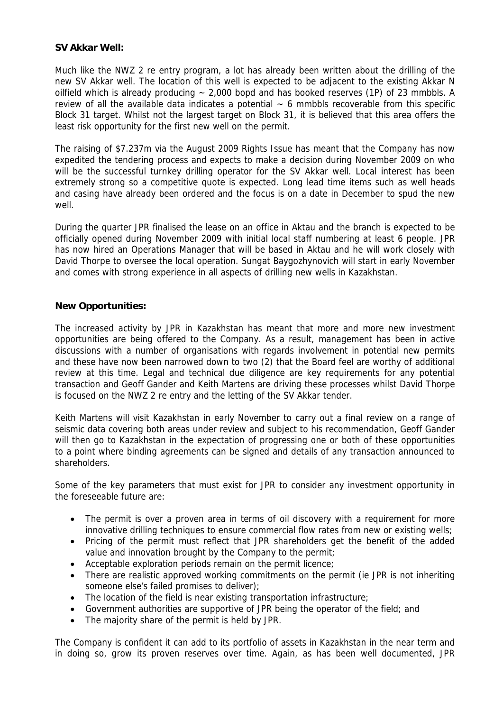## **SV Akkar Well:**

Much like the NWZ 2 re entry program, a lot has already been written about the drilling of the new SV Akkar well. The location of this well is expected to be adjacent to the existing Akkar N oilfield which is already producing  $\sim$  2,000 bopd and has booked reserves (1P) of 23 mmbbls. A review of all the available data indicates a potential  $\sim$  6 mmbbls recoverable from this specific Block 31 target. Whilst not the largest target on Block 31, it is believed that this area offers the least risk opportunity for the first new well on the permit.

The raising of \$7.237m via the August 2009 Rights Issue has meant that the Company has now expedited the tendering process and expects to make a decision during November 2009 on who will be the successful turnkey drilling operator for the SV Akkar well. Local interest has been extremely strong so a competitive quote is expected. Long lead time items such as well heads and casing have already been ordered and the focus is on a date in December to spud the new well.

During the quarter JPR finalised the lease on an office in Aktau and the branch is expected to be officially opened during November 2009 with initial local staff numbering at least 6 people. JPR has now hired an Operations Manager that will be based in Aktau and he will work closely with David Thorpe to oversee the local operation. Sungat Baygozhynovich will start in early November and comes with strong experience in all aspects of drilling new wells in Kazakhstan.

## **New Opportunities:**

The increased activity by JPR in Kazakhstan has meant that more and more new investment opportunities are being offered to the Company. As a result, management has been in active discussions with a number of organisations with regards involvement in potential new permits and these have now been narrowed down to two (2) that the Board feel are worthy of additional review at this time. Legal and technical due diligence are key requirements for any potential transaction and Geoff Gander and Keith Martens are driving these processes whilst David Thorpe is focused on the NWZ 2 re entry and the letting of the SV Akkar tender.

Keith Martens will visit Kazakhstan in early November to carry out a final review on a range of seismic data covering both areas under review and subject to his recommendation, Geoff Gander will then go to Kazakhstan in the expectation of progressing one or both of these opportunities to a point where binding agreements can be signed and details of any transaction announced to shareholders.

Some of the key parameters that must exist for JPR to consider any investment opportunity in the foreseeable future are:

- The permit is over a proven area in terms of oil discovery with a requirement for more innovative drilling techniques to ensure commercial flow rates from new or existing wells;
- Pricing of the permit must reflect that JPR shareholders get the benefit of the added value and innovation brought by the Company to the permit;
- Acceptable exploration periods remain on the permit licence;
- There are realistic approved working commitments on the permit (ie JPR is not inheriting someone else's failed promises to deliver);
- The location of the field is near existing transportation infrastructure;
- Government authorities are supportive of JPR being the operator of the field; and
- The majority share of the permit is held by JPR.

The Company is confident it can add to its portfolio of assets in Kazakhstan in the near term and in doing so, grow its proven reserves over time. Again, as has been well documented, JPR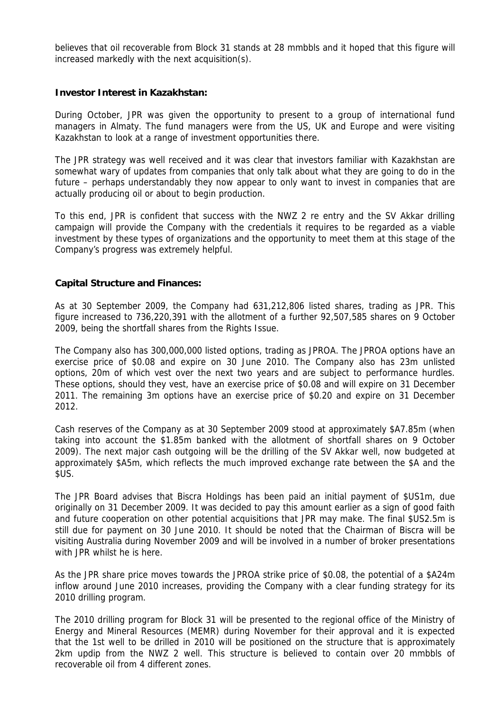believes that oil recoverable from Block 31 stands at 28 mmbbls and it hoped that this figure will increased markedly with the next acquisition(s).

#### **Investor Interest in Kazakhstan:**

During October, JPR was given the opportunity to present to a group of international fund managers in Almaty. The fund managers were from the US, UK and Europe and were visiting Kazakhstan to look at a range of investment opportunities there.

The JPR strategy was well received and it was clear that investors familiar with Kazakhstan are somewhat wary of updates from companies that only talk about what they are going to do in the future – perhaps understandably they now appear to only want to invest in companies that are actually producing oil or about to begin production.

To this end, JPR is confident that success with the NWZ 2 re entry and the SV Akkar drilling campaign will provide the Company with the credentials it requires to be regarded as a viable investment by these types of organizations and the opportunity to meet them at this stage of the Company's progress was extremely helpful.

## **Capital Structure and Finances:**

As at 30 September 2009, the Company had 631,212,806 listed shares, trading as JPR. This figure increased to 736,220,391 with the allotment of a further 92,507,585 shares on 9 October 2009, being the shortfall shares from the Rights Issue.

The Company also has 300,000,000 listed options, trading as JPROA. The JPROA options have an exercise price of \$0.08 and expire on 30 June 2010. The Company also has 23m unlisted options, 20m of which vest over the next two years and are subject to performance hurdles. These options, should they vest, have an exercise price of \$0.08 and will expire on 31 December 2011. The remaining 3m options have an exercise price of \$0.20 and expire on 31 December 2012.

Cash reserves of the Company as at 30 September 2009 stood at approximately \$A7.85m (when taking into account the \$1.85m banked with the allotment of shortfall shares on 9 October 2009). The next major cash outgoing will be the drilling of the SV Akkar well, now budgeted at approximately \$A5m, which reflects the much improved exchange rate between the \$A and the \$US.

The JPR Board advises that Biscra Holdings has been paid an initial payment of \$US1m, due originally on 31 December 2009. It was decided to pay this amount earlier as a sign of good faith and future cooperation on other potential acquisitions that JPR may make. The final \$US2.5m is still due for payment on 30 June 2010. It should be noted that the Chairman of Biscra will be visiting Australia during November 2009 and will be involved in a number of broker presentations with JPR whilst he is here.

As the JPR share price moves towards the JPROA strike price of \$0.08, the potential of a \$A24m inflow around June 2010 increases, providing the Company with a clear funding strategy for its 2010 drilling program.

The 2010 drilling program for Block 31 will be presented to the regional office of the Ministry of Energy and Mineral Resources (MEMR) during November for their approval and it is expected that the 1st well to be drilled in 2010 will be positioned on the structure that is approximately 2km updip from the NWZ 2 well. This structure is believed to contain over 20 mmbbls of recoverable oil from 4 different zones.